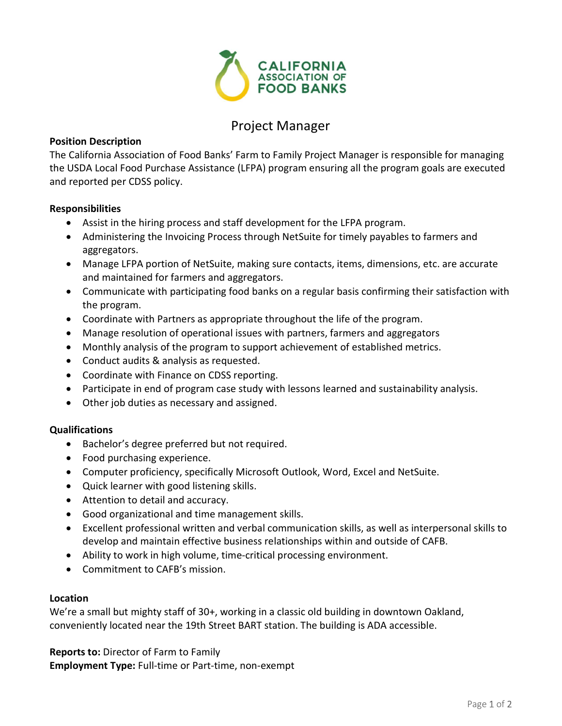

# Project Manager

# Position Description

The California Association of Food Banks' Farm to Family Project Manager is responsible for managing the USDA Local Food Purchase Assistance (LFPA) program ensuring all the program goals are executed and reported per CDSS policy.

### Responsibilities

- Assist in the hiring process and staff development for the LFPA program.
- Administering the Invoicing Process through NetSuite for timely payables to farmers and aggregators.
- Manage LFPA portion of NetSuite, making sure contacts, items, dimensions, etc. are accurate and maintained for farmers and aggregators.
- Communicate with participating food banks on a regular basis confirming their satisfaction with the program.
- Coordinate with Partners as appropriate throughout the life of the program.
- Manage resolution of operational issues with partners, farmers and aggregators
- Monthly analysis of the program to support achievement of established metrics.
- Conduct audits & analysis as requested.
- Coordinate with Finance on CDSS reporting.
- Participate in end of program case study with lessons learned and sustainability analysis.
- Other job duties as necessary and assigned.

### Qualifications

- Bachelor's degree preferred but not required.
- Food purchasing experience.
- Computer proficiency, specifically Microsoft Outlook, Word, Excel and NetSuite.
- Quick learner with good listening skills.
- Attention to detail and accuracy.
- Good organizational and time management skills.
- Excellent professional written and verbal communication skills, as well as interpersonal skills to develop and maintain effective business relationships within and outside of CAFB.
- Ability to work in high volume, time-critical processing environment.
- Commitment to CAFB's mission.

#### Location

We're a small but mighty staff of 30+, working in a classic old building in downtown Oakland, conveniently located near the 19th Street BART station. The building is ADA accessible.

Reports to: Director of Farm to Family Employment Type: Full-time or Part-time, non-exempt